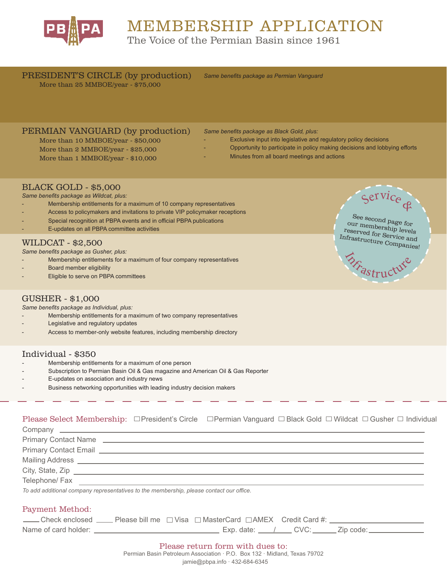

# MEMBERSHIP APPLICATION

The Voice of the Permian Basin since 1961

PRESIDENT'S CIRCLE (by production) *Same benefits package as Permian Vanguard* More than 25 MMBOE/year - \$75,000

#### PERMIAN VANGUARD (by production)

More than 10 MMBOE/year - \$50,000 More than 2 MMBOE/year - \$25,000 More than 1 MMBOE/year - \$10,000

*Same benefits package as Black Gold, plus:*

- Exclusive input into legislative and regulatory policy decisions
	- Opportunity to participate in policy making decisions and lobbying efforts
	- Minutes from all board meetings and actions

#### BLACK GOLD - \$5,000

*Same benefits package as Wildcat, plus:*

- Membership entitlements for a maximum of 10 company representatives
- Access to policymakers and invitations to private VIP policymaker receptions
- Special recognition at PBPA events and in official PBPA publications
- E-updates on all PBPA committee activities

#### WILDCAT - \$2,500

*Same benefits package as Gusher, plus:*

- Membership entitlements for a maximum of four company representatives
- Board member eligibility
- Eligible to serve on PBPA committees

# $\varsigma$ ervice See second page for

## our membership levels reserved for Service and Infrastructure Companies!

**DEFRASTructure** 

#### GUSHER - \$1,000

*Same benefits package as Individual, plus:*

- Membership entitlements for a maximum of two company representatives
- Legislative and regulatory updates
- Access to member-only website features, including membership directory

#### Individual - \$350

- Membership entitlements for a maximum of one person
- Subscription to Permian Basin Oil & Gas magazine and American Oil & Gas Reporter
- E-updates on association and industry news
- Business networking opportunities with leading industry decision makers

#### Please Select Membership:  $\Box$ President's Circle  $\Box$ Permian Vanguard  $\Box$  Black Gold  $\Box$  Wildcat  $\Box$  Gusher  $\Box$  Individual

Company \_\_ Primary Contact Name **contact and Contact Name** Primary Contact Email **Figure 2018 Primary Contact Email** Mailing Address City, State, Zip Telephone/ Fax *To add additional company representatives to the membership, please contact our office.*  Payment Method: Check enclosed  $\Box$  Please bill me  $\Box$  Visa  $\Box$  MasterCard  $\Box$  AMEX Credit Card #: Name of card holder: Exp. date: / CVC: Zip code: